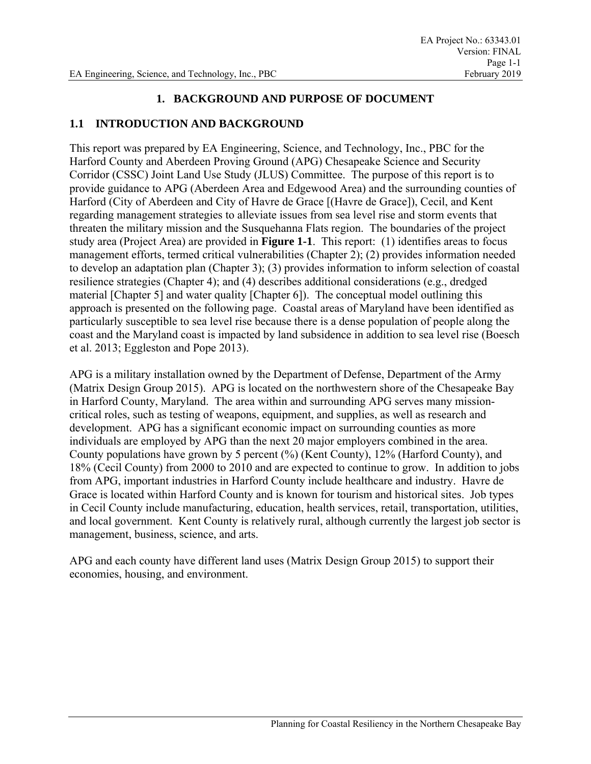## **1. BACKGROUND AND PURPOSE OF DOCUMENT**

## **1.1 INTRODUCTION AND BACKGROUND**

This report was prepared by EA Engineering, Science, and Technology, Inc., PBC for the Harford County and Aberdeen Proving Ground (APG) Chesapeake Science and Security Corridor (CSSC) Joint Land Use Study (JLUS) Committee. The purpose of this report is to provide guidance to APG (Aberdeen Area and Edgewood Area) and the surrounding counties of Harford (City of Aberdeen and City of Havre de Grace [(Havre de Grace]), Cecil, and Kent regarding management strategies to alleviate issues from sea level rise and storm events that threaten the military mission and the Susquehanna Flats region. The boundaries of the project study area (Project Area) are provided in **Figure 1-1**. This report: (1) identifies areas to focus management efforts, termed critical vulnerabilities (Chapter 2); (2) provides information needed to develop an adaptation plan (Chapter 3); (3) provides information to inform selection of coastal resilience strategies (Chapter 4); and (4) describes additional considerations (e.g., dredged material [Chapter 5] and water quality [Chapter 6]). The conceptual model outlining this approach is presented on the following page. Coastal areas of Maryland have been identified as particularly susceptible to sea level rise because there is a dense population of people along the coast and the Maryland coast is impacted by land subsidence in addition to sea level rise (Boesch et al. 2013; Eggleston and Pope 2013).

APG is a military installation owned by the Department of Defense, Department of the Army (Matrix Design Group 2015). APG is located on the northwestern shore of the Chesapeake Bay in Harford County, Maryland. The area within and surrounding APG serves many missioncritical roles, such as testing of weapons, equipment, and supplies, as well as research and development. APG has a significant economic impact on surrounding counties as more individuals are employed by APG than the next 20 major employers combined in the area. County populations have grown by 5 percent (%) (Kent County), 12% (Harford County), and 18% (Cecil County) from 2000 to 2010 and are expected to continue to grow. In addition to jobs from APG, important industries in Harford County include healthcare and industry. Havre de Grace is located within Harford County and is known for tourism and historical sites. Job types in Cecil County include manufacturing, education, health services, retail, transportation, utilities, and local government. Kent County is relatively rural, although currently the largest job sector is management, business, science, and arts.

APG and each county have different land uses (Matrix Design Group 2015) to support their economies, housing, and environment.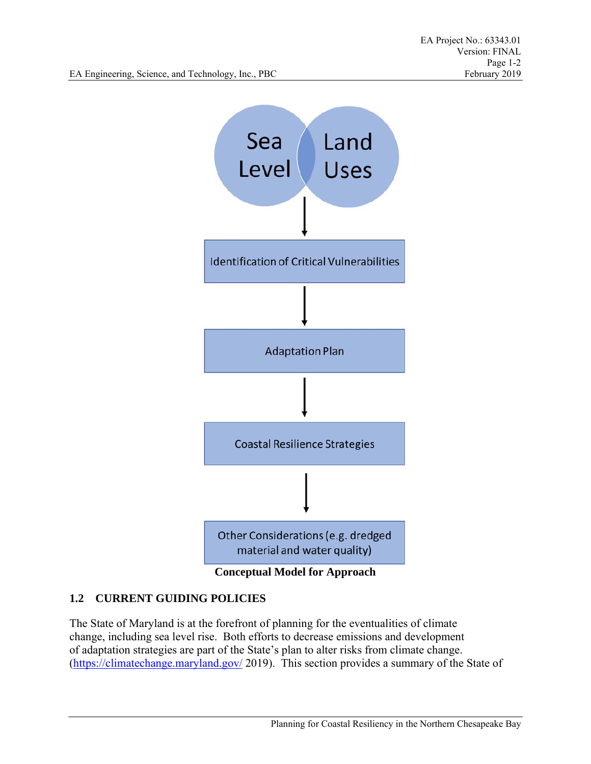

## **1.2 CURRENT GUIDING POLICIES**

The State of Maryland is at the forefront of planning for the eventualities of climate change, including sea level rise. Both efforts to decrease emissions and development of adaptation strategies are part of the State's plan to alter risks from climate change. (https://climatechange.maryland.gov/ 2019). This section provides a summary of the State of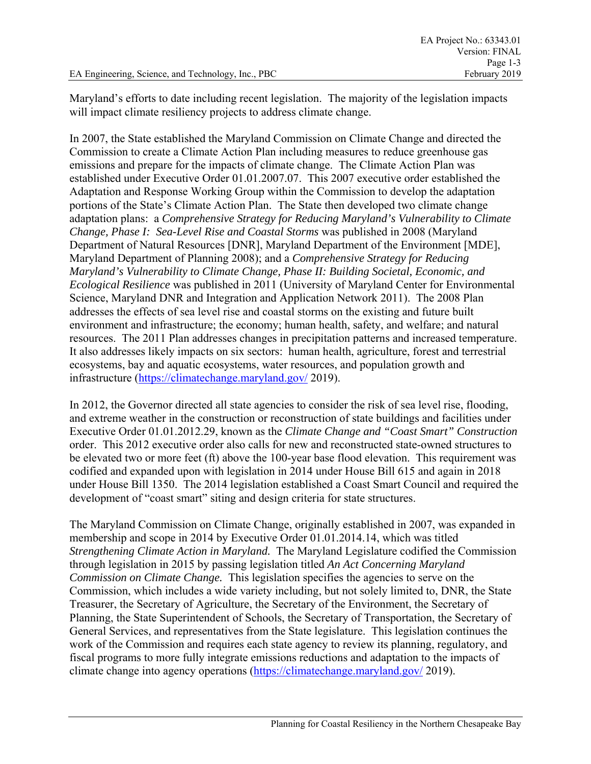Maryland's efforts to date including recent legislation. The majority of the legislation impacts will impact climate resiliency projects to address climate change.

In 2007, the State established the Maryland Commission on Climate Change and directed the Commission to create a Climate Action Plan including measures to reduce greenhouse gas emissions and prepare for the impacts of climate change. The Climate Action Plan was established under Executive Order 01.01.2007.07. This 2007 executive order established the Adaptation and Response Working Group within the Commission to develop the adaptation portions of the State's Climate Action Plan. The State then developed two climate change adaptation plans: a *Comprehensive Strategy for Reducing Maryland's Vulnerability to Climate Change, Phase I: Sea-Level Rise and Coastal Storms* was published in 2008 (Maryland Department of Natural Resources [DNR], Maryland Department of the Environment [MDE], Maryland Department of Planning 2008); and a *Comprehensive Strategy for Reducing Maryland's Vulnerability to Climate Change, Phase II: Building Societal, Economic, and Ecological Resilience* was published in 2011 (University of Maryland Center for Environmental Science, Maryland DNR and Integration and Application Network 2011). The 2008 Plan addresses the effects of sea level rise and coastal storms on the existing and future built environment and infrastructure; the economy; human health, safety, and welfare; and natural resources. The 2011 Plan addresses changes in precipitation patterns and increased temperature. It also addresses likely impacts on six sectors: human health, agriculture, forest and terrestrial ecosystems, bay and aquatic ecosystems, water resources, and population growth and infrastructure (https://climatechange.maryland.gov/ 2019).

In 2012, the Governor directed all state agencies to consider the risk of sea level rise, flooding, and extreme weather in the construction or reconstruction of state buildings and facilities under Executive Order 01.01.2012.29, known as the *Climate Change and "Coast Smart" Construction*  order. This 2012 executive order also calls for new and reconstructed state-owned structures to be elevated two or more feet (ft) above the 100-year base flood elevation. This requirement was codified and expanded upon with legislation in 2014 under House Bill 615 and again in 2018 under House Bill 1350. The 2014 legislation established a Coast Smart Council and required the development of "coast smart" siting and design criteria for state structures.

The Maryland Commission on Climate Change, originally established in 2007, was expanded in membership and scope in 2014 by Executive Order 01.01.2014.14, which was titled *Strengthening Climate Action in Maryland.* The Maryland Legislature codified the Commission through legislation in 2015 by passing legislation titled *An Act Concerning Maryland Commission on Climate Change.* This legislation specifies the agencies to serve on the Commission, which includes a wide variety including, but not solely limited to, DNR, the State Treasurer, the Secretary of Agriculture, the Secretary of the Environment, the Secretary of Planning, the State Superintendent of Schools, the Secretary of Transportation, the Secretary of General Services, and representatives from the State legislature. This legislation continues the work of the Commission and requires each state agency to review its planning, regulatory, and fiscal programs to more fully integrate emissions reductions and adaptation to the impacts of climate change into agency operations (https://climatechange.maryland.gov/ 2019).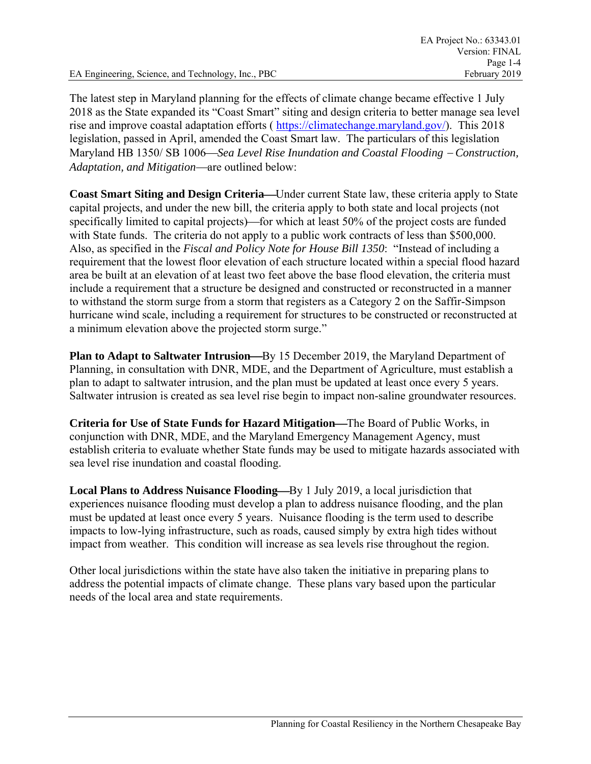EA Engineering, Science, and Technology, Inc., PBC

The latest step in Maryland planning for the effects of climate change became effective 1 July 2018 as the State expanded its "Coast Smart" siting and design criteria to better manage sea level rise and improve coastal adaptation efforts ( https://climatechange.maryland.gov/). This 2018 legislation, passed in April, amended the Coast Smart law. The particulars of this legislation Maryland HB 1350/ SB 1006—Sea Level Rise Inundation and Coastal Flooding – Construction, *Adaptation, and Mitigation*—are outlined below:

**Coast Smart Siting and Design Criteria—Under current State law, these criteria apply to State** capital projects, and under the new bill, the criteria apply to both state and local projects (not specifically limited to capital projects)—for which at least 50% of the project costs are funded with State funds. The criteria do not apply to a public work contracts of less than \$500,000. Also, as specified in the *Fiscal and Policy Note for House Bill 1350*: "Instead of including a requirement that the lowest floor elevation of each structure located within a special flood hazard area be built at an elevation of at least two feet above the base flood elevation, the criteria must include a requirement that a structure be designed and constructed or reconstructed in a manner to withstand the storm surge from a storm that registers as a Category 2 on the Saffir-Simpson hurricane wind scale, including a requirement for structures to be constructed or reconstructed at a minimum elevation above the projected storm surge."

**Plan to Adapt to Saltwater Intrusion—By 15 December 2019, the Maryland Department of** Planning, in consultation with DNR, MDE, and the Department of Agriculture, must establish a plan to adapt to saltwater intrusion, and the plan must be updated at least once every 5 years. Saltwater intrusion is created as sea level rise begin to impact non-saline groundwater resources.

**Criteria for Use of State Funds for Hazard Mitigation—The Board of Public Works, in** conjunction with DNR, MDE, and the Maryland Emergency Management Agency, must establish criteria to evaluate whether State funds may be used to mitigate hazards associated with sea level rise inundation and coastal flooding.

**Local Plans to Address Nuisance Flooding—By** 1 July 2019, a local jurisdiction that experiences nuisance flooding must develop a plan to address nuisance flooding, and the plan must be updated at least once every 5 years. Nuisance flooding is the term used to describe impacts to low-lying infrastructure, such as roads, caused simply by extra high tides without impact from weather. This condition will increase as sea levels rise throughout the region.

Other local jurisdictions within the state have also taken the initiative in preparing plans to address the potential impacts of climate change. These plans vary based upon the particular needs of the local area and state requirements.